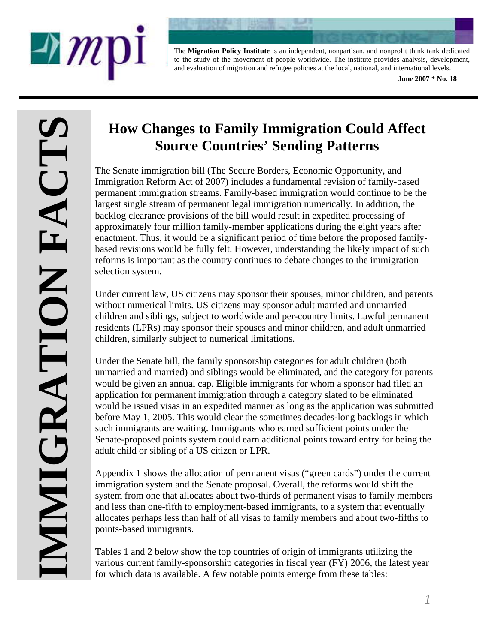



The **Migration Policy Institute** is an independent, nonpartisan, and nonprofit think tank dedicated to the study of the movement of people worldwide. The institute provides analysis, development, and evaluation of migration and refugee policies at the local, national, and international levels.

**June 2007 \* No. 18** 

# **How Changes to Family Immigration Could Affect Source Countries' Sending Patterns**

The Senate immigration bill (The Secure Borders, Economic Opportunity, and Immigration Reform Act of 2007) includes a fundamental revision of family-based permanent immigration streams. Family-based immigration would continue to be the largest single stream of permanent legal immigration numerically. In addition, the backlog clearance provisions of the bill would result in expedited processing of approximately four million family-member applications during the eight years after enactment. Thus, it would be a significant period of time before the proposed familybased revisions would be fully felt. However, understanding the likely impact of such reforms is important as the country continues to debate changes to the immigration selection system.

Under current law, US citizens may sponsor their spouses, minor children, and parents without numerical limits. US citizens may sponsor adult married and unmarried children and siblings, subject to worldwide and per-country limits. Lawful permanent residents (LPRs) may sponsor their spouses and minor children, and adult unmarried children, similarly subject to numerical limitations.

Under the Senate bill, the family sponsorship categories for adult children (both unmarried and married) and siblings would be eliminated, and the category for parents would be given an annual cap. Eligible immigrants for whom a sponsor had filed an application for permanent immigration through a category slated to be eliminated would be issued visas in an expedited manner as long as the application was submitted before May 1, 2005. This would clear the sometimes decades-long backlogs in which such immigrants are waiting. Immigrants who earned sufficient points under the Senate-proposed points system could earn additional points toward entry for being the adult child or sibling of a US citizen or LPR.

Appendix 1 shows the allocation of permanent visas ("green cards") under the current immigration system and the Senate proposal. Overall, the reforms would shift the system from one that allocates about two-thirds of permanent visas to family members and less than one-fifth to employment-based immigrants, to a system that eventually allocates perhaps less than half of all visas to family members and about two-fifths to points-based immigrants.

Tables 1 and 2 below show the top countries of origin of immigrants utilizing the various current family-sponsorship categories in fiscal year (FY) 2006, the latest year for which data is available. A few notable points emerge from these tables: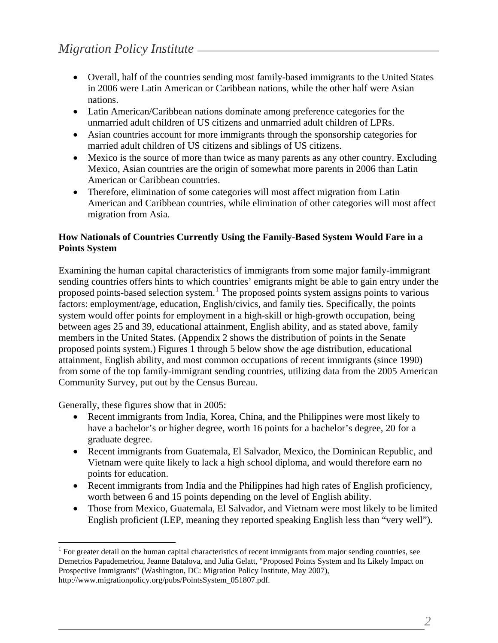- Overall, half of the countries sending most family-based immigrants to the United States in 2006 were Latin American or Caribbean nations, while the other half were Asian nations.
- Latin American/Caribbean nations dominate among preference categories for the unmarried adult children of US citizens and unmarried adult children of LPRs.
- Asian countries account for more immigrants through the sponsorship categories for married adult children of US citizens and siblings of US citizens.
- Mexico is the source of more than twice as many parents as any other country. Excluding Mexico, Asian countries are the origin of somewhat more parents in 2006 than Latin American or Caribbean countries.
- Therefore, elimination of some categories will most affect migration from Latin American and Caribbean countries, while elimination of other categories will most affect migration from Asia.

## **How Nationals of Countries Currently Using the Family-Based System Would Fare in a Points System**

Examining the human capital characteristics of immigrants from some major family-immigrant sending countries offers hints to which countries' emigrants might be able to gain entry under the proposed points-based selection system.<sup>[1](#page-1-0)</sup> The proposed points system assigns points to various factors: employment/age, education, English/civics, and family ties. Specifically, the points system would offer points for employment in a high-skill or high-growth occupation, being between ages 25 and 39, educational attainment, English ability, and as stated above, family members in the United States. (Appendix 2 shows the distribution of points in the Senate proposed points system.) Figures 1 through 5 below show the age distribution, educational attainment, English ability, and most common occupations of recent immigrants (since 1990) from some of the top family-immigrant sending countries, utilizing data from the 2005 American Community Survey, put out by the Census Bureau.

Generally, these figures show that in 2005:

 $\overline{a}$ 

- Recent immigrants from India, Korea, China, and the Philippines were most likely to have a bachelor's or higher degree, worth 16 points for a bachelor's degree, 20 for a graduate degree.
- Recent immigrants from Guatemala, El Salvador, Mexico, the Dominican Republic, and Vietnam were quite likely to lack a high school diploma, and would therefore earn no points for education.
- Recent immigrants from India and the Philippines had high rates of English proficiency, worth between 6 and 15 points depending on the level of English ability.
- Those from Mexico, Guatemala, El Salvador, and Vietnam were most likely to be limited English proficient (LEP, meaning they reported speaking English less than "very well").

*2* 

<span id="page-1-0"></span><sup>&</sup>lt;sup>1</sup> For greater detail on the human capital characteristics of recent immigrants from major sending countries, see Demetrios Papademetriou, Jeanne Batalova, and Julia Gelatt, "Proposed Points System and Its Likely Impact on Prospective Immigrants" (Washington, DC: Migration Policy Institute, May 2007), http://www.migrationpolicy.org/pubs/PointsSystem\_051807.pdf.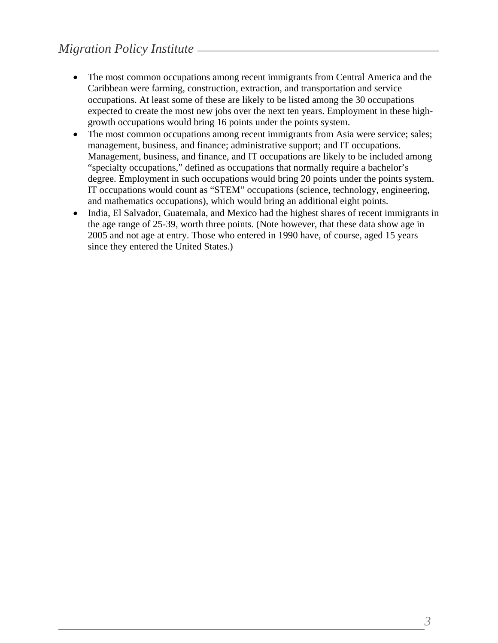- The most common occupations among recent immigrants from Central America and the Caribbean were farming, construction, extraction, and transportation and service occupations. At least some of these are likely to be listed among the 30 occupations expected to create the most new jobs over the next ten years. Employment in these highgrowth occupations would bring 16 points under the points system.
- The most common occupations among recent immigrants from Asia were service; sales; management, business, and finance; administrative support; and IT occupations. Management, business, and finance, and IT occupations are likely to be included among "specialty occupations," defined as occupations that normally require a bachelor's degree. Employment in such occupations would bring 20 points under the points system. IT occupations would count as "STEM" occupations (science, technology, engineering, and mathematics occupations), which would bring an additional eight points.
- India, El Salvador, Guatemala, and Mexico had the highest shares of recent immigrants in the age range of 25-39, worth three points. (Note however, that these data show age in 2005 and not age at entry. Those who entered in 1990 have, of course, aged 15 years since they entered the United States.)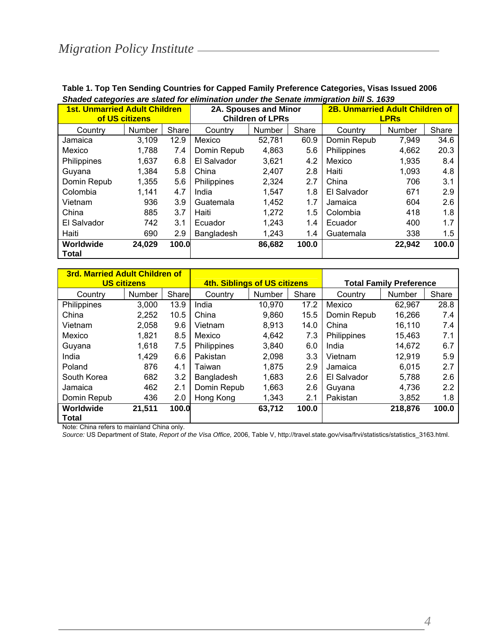| <b>1st. Unmarried Adult Children</b> | of US citizens |       |             | <b>2B. Unmarried Adult Children of</b><br>2A. Spouses and Minor<br><b>Children of LPRs</b><br><b>LPR<sub>s</sub></b> |       |             |               |       |
|--------------------------------------|----------------|-------|-------------|----------------------------------------------------------------------------------------------------------------------|-------|-------------|---------------|-------|
| Country                              | <b>Number</b>  | Share | Country     | Number                                                                                                               | Share | Country     | <b>Number</b> | Share |
| Jamaica                              | 3,109          | 12.9  | Mexico      | 52,781                                                                                                               | 60.9  | Domin Repub | 7,949         | 34.6  |
| Mexico                               | 1,788          | 7.4   | Domin Repub | 4.863                                                                                                                | 5.6   | Philippines | 4,662         | 20.3  |
| Philippines                          | 1,637          | 6.8   | El Salvador | 3,621                                                                                                                | 4.2   | Mexico      | 1,935         | 8.4   |
| Guvana                               | 1,384          | 5.8   | China       | 2.407                                                                                                                | 2.8   | Haiti       | 1.093         | 4.8   |
| Domin Repub                          | 1,355          | 5.6   | Philippines | 2,324                                                                                                                | 2.7   | China       | 706           | 3.1   |
| Colombia                             | 1,141          | 4.7   | India       | 1,547                                                                                                                | 1.8   | El Salvador | 671           | 2.9   |
| Vietnam                              | 936            | 3.9   | Guatemala   | 1,452                                                                                                                | 1.7   | Jamaica     | 604           | 2.6   |
| China                                | 885            | 3.7   | Haiti       | 1,272                                                                                                                | 1.5   | Colombia    | 418           | 1.8   |
| El Salvador                          | 742            | 3.1   | Ecuador     | 1,243                                                                                                                | 1.4   | Ecuador     | 400           | 1.7   |
| Haiti                                | 690            | 2.9   | Bangladesh  | 1,243                                                                                                                | 1.4   | Guatemala   | 338           | 1.5   |
| Worldwide                            | 24,029         | 100.0 |             | 86,682                                                                                                               | 100.0 |             | 22,942        | 100.0 |
| <b>Total</b>                         |                |       |             |                                                                                                                      |       |             |               |       |

#### **Table 1. Top Ten Sending Countries for Capped Family Preference Categories, Visas Issued 2006**  *Shaded categories are slated for elimination under the Senate immigration bill S. 1639*

|             | <b>3rd. Married Adult Children of</b><br><b>US citizens</b> |       |             | 4th. Siblings of US citizens |       | <b>Total Family Preference</b> |         |       |  |
|-------------|-------------------------------------------------------------|-------|-------------|------------------------------|-------|--------------------------------|---------|-------|--|
| Country     | <b>Number</b>                                               | Share | Country     | <b>Number</b>                | Share | Country                        | Number  | Share |  |
| Philippines | 3,000                                                       | 13.9  | India       | 10.970                       | 17.2  | Mexico                         | 62,967  | 28.8  |  |
| China       | 2.252                                                       | 10.5  | China       | 9.860                        | 15.5  | Domin Repub                    | 16,266  | 7.4   |  |
| Vietnam     | 2.058                                                       | 9.6   | Vietnam     | 8.913                        | 14.0  | China                          | 16.110  | 7.4   |  |
| Mexico      | 1,821                                                       | 8.5   | Mexico      | 4.642                        | 7.3   | Philippines                    | 15.463  | 7.1   |  |
| Guyana      | 1,618                                                       | 7.5   | Philippines | 3,840                        | 6.0   | India                          | 14.672  | 6.7   |  |
| India       | 1,429                                                       | 6.6   | Pakistan    | 2,098                        | 3.3   | Vietnam                        | 12,919  | 5.9   |  |
| Poland      | 876                                                         | 4.1   | Taiwan      | 1,875                        | 2.9   | Jamaica                        | 6.015   | 2.7   |  |
| South Korea | 682                                                         | 3.2   | Bangladesh  | 1,683                        | 2.6   | El Salvador                    | 5.788   | 2.6   |  |
| Jamaica     | 462                                                         | 2.1   | Domin Repub | 1,663                        | 2.6   | Guvana                         | 4.736   | 2.2   |  |
| Domin Repub | 436                                                         | 2.0   | Hong Kong   | 1,343                        | 2.1   | Pakistan                       | 3,852   | 1.8   |  |
| Worldwide   | 21,511                                                      | 100.0 |             | 63,712                       | 100.0 |                                | 218,876 | 100.0 |  |
| Total       |                                                             |       |             |                              |       |                                |         |       |  |

Note: China refers to mainland China only.

*Source:* US Department of State, *Report of the Visa Office,* 2006, Table V, http://travel.state.gov/visa/frvi/statistics/statistics\_3163.html.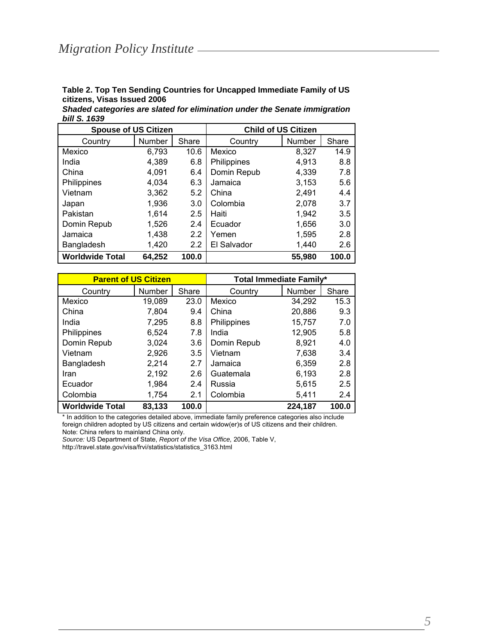**Table 2. Top Ten Sending Countries for Uncapped Immediate Family of US citizens, Visas Issued 2006** 

| Shaded categories are slated for elimination under the Senate immigration |  |  |
|---------------------------------------------------------------------------|--|--|
| bill S. 1639                                                              |  |  |

| <b>Spouse of US Citizen</b> |        |       |             | <b>Child of US Citizen</b> |       |
|-----------------------------|--------|-------|-------------|----------------------------|-------|
| Country                     | Number | Share | Country     | Number                     | Share |
| Mexico                      | 6,793  | 10.6  | Mexico      | 8,327                      | 14.9  |
| India                       | 4,389  | 6.8   | Philippines | 4,913                      | 8.8   |
| China                       | 4,091  | 6.4   | Domin Repub | 4,339                      | 7.8   |
| Philippines                 | 4,034  | 6.3   | Jamaica     | 3,153                      | 5.6   |
| Vietnam                     | 3.362  | 5.2   | China       | 2.491                      | 4.4   |
| Japan                       | 1,936  | 3.0   | Colombia    | 2,078                      | 3.7   |
| Pakistan                    | 1,614  | 2.5   | Haiti       | 1,942                      | 3.5   |
| Domin Repub                 | 1,526  | 2.4   | Ecuador     | 1,656                      | 3.0   |
| Jamaica                     | 1,438  | 2.2   | Yemen       | 1,595                      | 2.8   |
| Bangladesh                  | 1,420  | 2.2   | El Salvador | 1,440                      | 2.6   |
| <b>Worldwide Total</b>      | 64,252 | 100.0 |             | 55,980                     | 100.0 |

| <b>Parent of US Citizen</b> |               |       | <b>Total Immediate Family*</b> |         |       |  |  |
|-----------------------------|---------------|-------|--------------------------------|---------|-------|--|--|
| Country                     | <b>Number</b> | Share | Country                        | Number  | Share |  |  |
| Mexico                      | 19,089        | 23.0  | Mexico                         | 34,292  | 15.3  |  |  |
| China                       | 7,804         | 9.4   | China                          | 20,886  | 9.3   |  |  |
| India                       | 7,295         | 8.8   | Philippines                    | 15,757  | 7.0   |  |  |
| Philippines                 | 6.524         | 7.8   | India                          | 12,905  | 5.8   |  |  |
| Domin Repub                 | 3,024         | 3.6   | Domin Repub                    | 8,921   | 4.0   |  |  |
| Vietnam                     | 2,926         | 3.5   | Vietnam                        | 7.638   | 3.4   |  |  |
| Bangladesh                  | 2,214         | 2.7   | Jamaica                        | 6,359   | 2.8   |  |  |
| Iran                        | 2,192         | 2.6   | Guatemala                      | 6.193   | 2.8   |  |  |
| Ecuador                     | 1,984         | 2.4   | Russia                         | 5,615   | 2.5   |  |  |
| Colombia                    | 1,754         | 2.1   | Colombia                       | 5,411   | 2.4   |  |  |
| <b>Worldwide Total</b>      | 83,133        | 100.0 |                                | 224,187 | 100.0 |  |  |

\* In addition to the categories detailed above, immediate family preference categories also include foreign children adopted by US citizens and certain widow(er)s of US citizens and their children. Note: China refers to mainland China only.

*Source:* US Department of State, *Report of the Visa Office,* 2006, Table V,

http://travel.state.gov/visa/frvi/statistics/statistics\_3163.html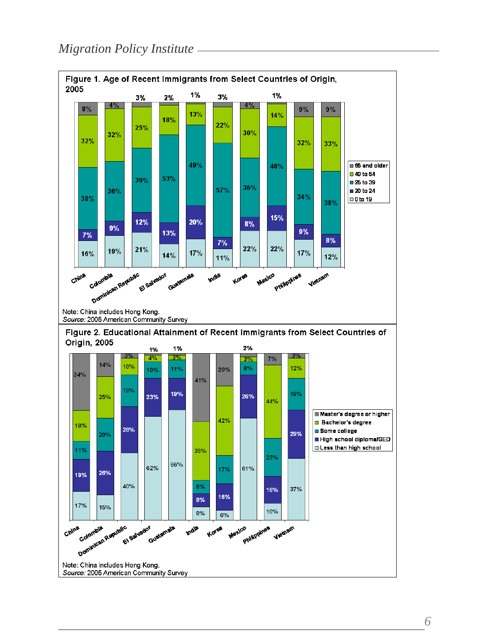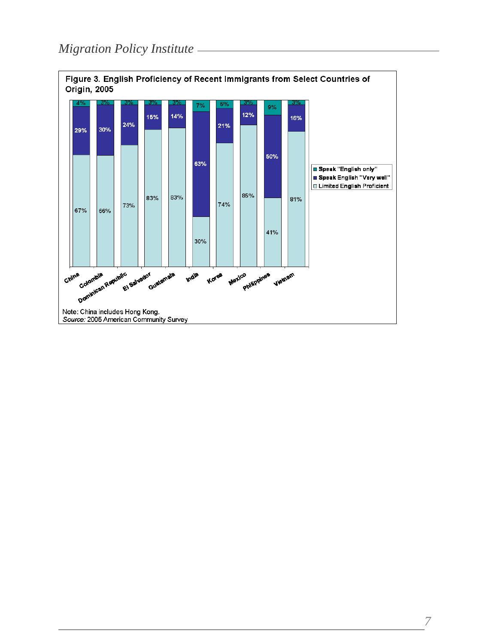

*7*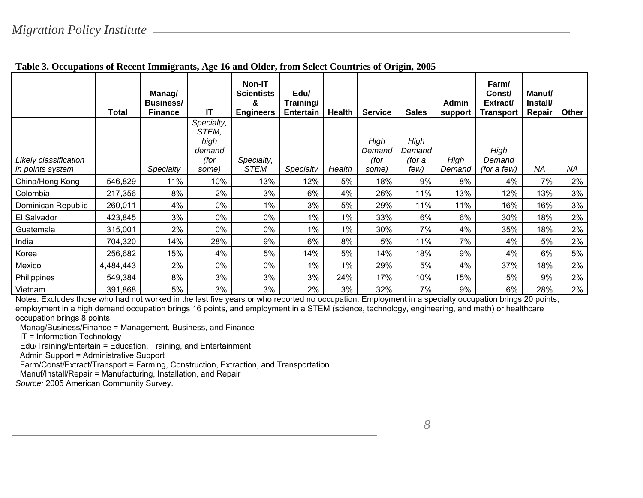|                                           | Total     | Manag/<br><b>Business/</b><br><b>Finance</b> | ΙT                                                     | <b>Non-IT</b><br><b>Scientists</b><br>&<br><b>Engineers</b> | Edu/<br>Training/<br><b>Entertain</b> | Health | <b>Service</b>                  | <b>Sales</b>                     | Admin<br>support | Farm/<br>Const/<br>Extract/<br><b>Transport</b> | Manuf/<br>Install/<br>Repair | Other |
|-------------------------------------------|-----------|----------------------------------------------|--------------------------------------------------------|-------------------------------------------------------------|---------------------------------------|--------|---------------------------------|----------------------------------|------------------|-------------------------------------------------|------------------------------|-------|
| Likely classification<br>in points system |           | Specialty                                    | Specialty,<br>STEM,<br>high<br>demand<br>(for<br>some) | Specialty,<br><b>STEM</b>                                   | Specialty                             | Health | High<br>Demand<br>(for<br>some) | High<br>Demand<br>(for a<br>few) | High<br>Demand   | High<br>Demand<br>(for a few)                   | <b>NA</b>                    | NA    |
| China/Hong Kong                           | 546,829   | 11%                                          | 10%                                                    | 13%                                                         | 12%                                   | 5%     | 18%                             | 9%                               | 8%               | 4%                                              | 7%                           | 2%    |
| Colombia                                  | 217,356   | 8%                                           | 2%                                                     | 3%                                                          | 6%                                    | 4%     | 26%                             | 11%                              | 13%              | 12%                                             | 13%                          | 3%    |
| Dominican Republic                        | 260,011   | 4%                                           | 0%                                                     | 1%                                                          | 3%                                    | 5%     | 29%                             | 11%                              | 11%              | 16%                                             | 16%                          | 3%    |
| El Salvador                               | 423,845   | 3%                                           | 0%                                                     | 0%                                                          | $1\%$                                 | $1\%$  | 33%                             | 6%                               | 6%               | 30%                                             | 18%                          | 2%    |
| Guatemala                                 | 315,001   | 2%                                           | 0%                                                     | 0%                                                          | $1\%$                                 | $1\%$  | 30%                             | 7%                               | 4%               | 35%                                             | 18%                          | 2%    |
| India                                     | 704,320   | 14%                                          | 28%                                                    | 9%                                                          | 6%                                    | 8%     | 5%                              | 11%                              | 7%               | 4%                                              | 5%                           | 2%    |
| Korea                                     | 256,682   | 15%                                          | 4%                                                     | 5%                                                          | 14%                                   | 5%     | 14%                             | 18%                              | 9%               | 4%                                              | 6%                           | 5%    |
| Mexico                                    | 4,484,443 | 2%                                           | 0%                                                     | 0%                                                          | $1\%$                                 | 1%     | 29%                             | 5%                               | 4%               | 37%                                             | 18%                          | 2%    |
| Philippines                               | 549,384   | 8%                                           | 3%                                                     | 3%                                                          | 3%                                    | 24%    | 17%                             | 10%                              | 15%              | 5%                                              | 9%                           | 2%    |
| Vietnam                                   | 391,868   | 5%                                           | 3%                                                     | 3%                                                          | 2%                                    | 3%     | 32%                             | 7%                               | 9%               | 6%                                              | 28%                          | 2%    |

## **Table 3. Occupations of Recent Immigrants, Age 16 and Older, from Select Countries of Origin, 2005**

Notes: Excludes those who had not worked in the last five years or who reported no occupation. Employment in a specialty occupation brings 20 points, employment in a high demand occupation brings 16 points, and employment in a STEM (science, technology, engineering, and math) or healthcare occupation brings 8 points.

Manag/Business/Finance = Management, Business, and Finance

IT = Information Technology

Edu/Training/Entertain = Education, Training, and Entertainment

Admin Support = Administrative Support

Farm/Const/Extract/Transport = Farming, Construction, Extraction, and Transportation

Manuf/Install/Repair = Manufacturing, Installation, and Repair

*Source:* 2005 American Community Survey.

*8*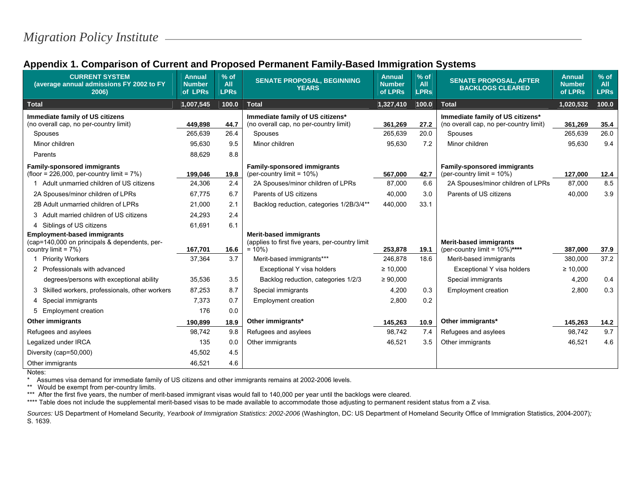| Appendix 1. Comparison of Current and Proposed Permanent Family-Based Immigration Systems |
|-------------------------------------------------------------------------------------------|
|-------------------------------------------------------------------------------------------|

| <b>CURRENT SYSTEM</b><br>(average annual admissions FY 2002 to FY<br>2006) | <b>Annual</b><br><b>Number</b><br>of LPRs | $%$ of<br><b>All</b><br><b>LPRs</b> | <b>SENATE PROPOSAL, BEGINNING</b><br><b>YEARS</b>            | <b>Annual</b><br><b>Number</b><br>of LPRs | $%$ of<br>All<br><b>LPRs</b> | <b>SENATE PROPOSAL, AFTER</b><br><b>BACKLOGS CLEARED</b>           | <b>Annual</b><br><b>Number</b><br>of LPRs | $%$ of<br><b>All</b><br><b>LPRs</b> |
|----------------------------------------------------------------------------|-------------------------------------------|-------------------------------------|--------------------------------------------------------------|-------------------------------------------|------------------------------|--------------------------------------------------------------------|-------------------------------------------|-------------------------------------|
| <b>Total</b>                                                               | 1,007,545                                 | 100.0                               | <b>Total</b>                                                 | 1,327,410                                 | 100.0                        | <b>Total</b>                                                       | 1,020,532                                 | 100.0                               |
| Immediate family of US citizens                                            |                                           |                                     | Immediate family of US citizens*                             |                                           |                              | Immediate family of US citizens*                                   |                                           |                                     |
| (no overall cap, no per-country limit)                                     | 449.898                                   | 44.7                                | (no overall cap, no per-country limit)                       | 361,269                                   | 27.2                         | (no overall cap, no per-country limit)                             | 361,269                                   | 35.4                                |
| Spouses                                                                    | 265,639                                   | 26.4                                | Spouses                                                      | 265,639                                   | 20.0                         | Spouses                                                            | 265,639                                   | 26.0                                |
| Minor children                                                             | 95.630                                    | 9.5                                 | Minor children                                               | 95,630                                    | 7.2                          | Minor children                                                     | 95,630                                    | 9.4                                 |
| Parents                                                                    | 88,629                                    | 8.8                                 |                                                              |                                           |                              |                                                                    |                                           |                                     |
| <b>Family-sponsored immigrants</b>                                         |                                           |                                     | <b>Family-sponsored immigrants</b>                           |                                           |                              | <b>Family-sponsored immigrants</b>                                 |                                           |                                     |
| (floor = $226,000$ , per-country limit = $7\%$ )                           | 199,046                                   | 19.8                                | (per-country limit = $10\%$ )                                | 567,000                                   | 42.7                         | (per-country limit = $10\%)$                                       | 127,000                                   | 12.4                                |
| 1 Adult unmarried children of US citizens                                  | 24,306                                    | 2.4                                 | 2A Spouses/minor children of LPRs                            | 87,000                                    | 6.6                          | 2A Spouses/minor children of LPRs                                  | 87,000                                    | 8.5                                 |
| 2A Spouses/minor children of LPRs                                          | 67.775                                    | 6.7                                 | Parents of US citizens                                       | 40,000                                    | 3.0                          | Parents of US citizens                                             | 40,000                                    | 3.9                                 |
| 2B Adult unmarried children of LPRs                                        | 21,000                                    | 2.1                                 | Backlog reduction, categories 1/2B/3/4**                     | 440,000                                   | 33.1                         |                                                                    |                                           |                                     |
| 3 Adult married children of US citizens                                    | 24,293                                    | 2.4                                 |                                                              |                                           |                              |                                                                    |                                           |                                     |
| 4 Siblings of US citizens                                                  | 61,691                                    | 6.1                                 |                                                              |                                           |                              |                                                                    |                                           |                                     |
| <b>Employment-based immigrants</b>                                         |                                           |                                     | <b>Merit-based immigrants</b>                                |                                           |                              |                                                                    |                                           |                                     |
| (cap=140,000 on principals & dependents, per-<br>country limit = 7%)       | 167,701                                   | 16.6                                | (applies to first five years, per-country limit<br>$= 10\%)$ | 253,878                                   | 19.1                         | <b>Merit-based immigrants</b><br>(per-country limit = $10\%$ )**** | 387,000                                   | 37.9                                |
| 1 Priority Workers                                                         | 37,364                                    | 3.7                                 | Merit-based immigrants***                                    | 246,878                                   | 18.6                         | Merit-based immigrants                                             | 380,000                                   | 37.2                                |
| 2 Professionals with advanced                                              |                                           |                                     | Exceptional Y visa holders                                   | $\geq 10,000$                             |                              | Exceptional Y visa holders                                         | $\geq 10,000$                             |                                     |
|                                                                            | 35,536                                    | 3.5                                 |                                                              | $\geq 90,000$                             |                              | Special immigrants                                                 |                                           | 0.4                                 |
| degrees/persons with exceptional ability                                   |                                           |                                     | Backlog reduction, categories 1/2/3                          |                                           |                              |                                                                    | 4,200                                     |                                     |
| Skilled workers, professionals, other workers<br>3                         | 87,253                                    | 8.7                                 | Special immigrants                                           | 4,200                                     | 0.3                          | <b>Employment creation</b>                                         | 2,800                                     | 0.3                                 |
| 4 Special immigrants                                                       | 7,373                                     | 0.7                                 | <b>Employment creation</b>                                   | 2,800                                     | 0.2                          |                                                                    |                                           |                                     |
| <b>Employment creation</b><br>5                                            | 176                                       | 0.0                                 |                                                              |                                           |                              |                                                                    |                                           |                                     |
| <b>Other immigrants</b>                                                    | 190,899                                   | 18.9                                | Other immigrants*                                            | 145,263                                   | 10.9                         | Other immigrants*                                                  | 145,263                                   | 14.2                                |
| Refugees and asylees                                                       | 98,742                                    | 9.8                                 | Refugees and asylees                                         | 98,742                                    | 7.4                          | Refugees and asylees                                               | 98,742                                    | 9.7                                 |
| Legalized under IRCA                                                       | 135                                       | 0.0                                 | Other immigrants                                             | 46,521                                    | 3.5                          | Other immigrants                                                   | 46,521                                    | 4.6                                 |
| Diversity (cap=50,000)                                                     | 45,502                                    | 4.5                                 |                                                              |                                           |                              |                                                                    |                                           |                                     |
| Other immigrants                                                           | 46,521                                    | 4.6                                 |                                                              |                                           |                              |                                                                    |                                           |                                     |

Notes:

\* Assumes visa demand for immediate family of US citizens and other immigrants remains at 2002-2006 levels.

\*\* Would be exempt from per-country limits.

\*\*\* After the first five years, the number of merit-based immigrant visas would fall to 140,000 per year until the backlogs were cleared.

\*\*\*\* Table does not include the supplemental merit-based visas to be made available to accommodate those adjusting to permanent resident status from a Z visa.

*Sources:* US Department of Homeland Security, *Yearbook of Immigration Statistics: 2002-2006* (Washington, DC: US Department of Homeland Security Office of Immigration Statistics, 2004-2007)*;*  S. 1639.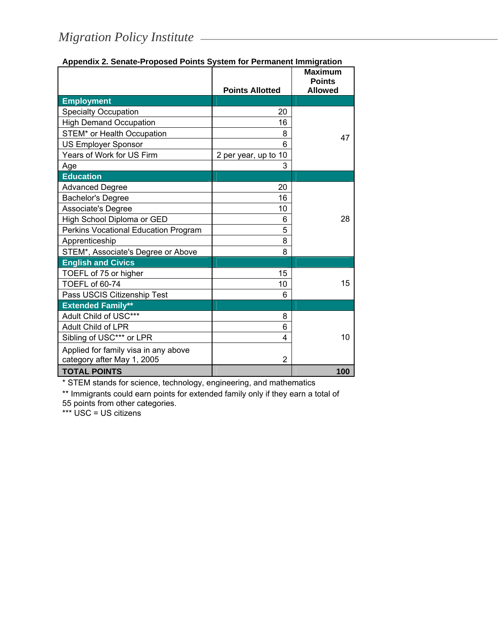|                                      | <b>Points Allotted</b> | <b>Maximum</b><br><b>Points</b><br><b>Allowed</b> |
|--------------------------------------|------------------------|---------------------------------------------------|
| <b>Employment</b>                    |                        |                                                   |
| <b>Specialty Occupation</b>          | 20                     |                                                   |
| <b>High Demand Occupation</b>        | 16                     |                                                   |
| STEM* or Health Occupation           | 8                      | 47                                                |
| <b>US Employer Sponsor</b>           | 6                      |                                                   |
| Years of Work for US Firm            | 2 per year, up to 10   |                                                   |
| Age                                  | 3                      |                                                   |
| <b>Education</b>                     |                        |                                                   |
| <b>Advanced Degree</b>               | 20                     |                                                   |
| <b>Bachelor's Degree</b>             | 16                     |                                                   |
| Associate's Degree                   | 10                     |                                                   |
| High School Diploma or GED           | 6                      | 28                                                |
| Perkins Vocational Education Program | 5                      |                                                   |
| Apprenticeship                       | 8                      |                                                   |
| STEM*, Associate's Degree or Above   | 8                      |                                                   |
| <b>English and Civics</b>            |                        |                                                   |
| TOEFL of 75 or higher                | 15                     |                                                   |
| TOEFL of 60-74                       | 10                     | 15                                                |
| Pass USCIS Citizenship Test          | 6                      |                                                   |
| <b>Extended Family**</b>             |                        |                                                   |
| Adult Child of USC***                | 8                      |                                                   |
| Adult Child of LPR                   | 6                      |                                                   |
| Sibling of USC*** or LPR             | 4                      | 10                                                |
| Applied for family visa in any above |                        |                                                   |
| category after May 1, 2005           | $\overline{2}$         |                                                   |
| <b>TOTAL POINTS</b>                  |                        | 100                                               |

#### **Appendix 2. Senate-Proposed Points System for Permanent Immigration**

\* STEM stands for science, technology, engineering, and mathematics

\*\* Immigrants could earn points for extended family only if they earn a total of 55 points from other categories.

\*\*\* USC = US citizens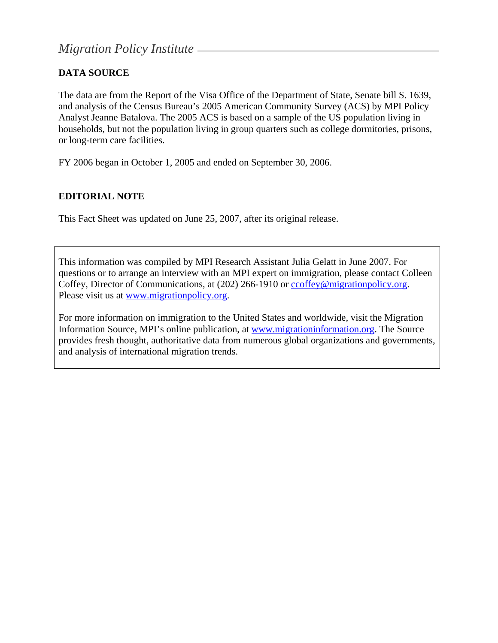# **DATA SOURCE**

The data are from the Report of the Visa Office of the Department of State, Senate bill S. 1639, and analysis of the Census Bureau's 2005 American Community Survey (ACS) by MPI Policy Analyst Jeanne Batalova. The 2005 ACS is based on a sample of the US population living in households, but not the population living in group quarters such as college dormitories, prisons, or long-term care facilities.

FY 2006 began in October 1, 2005 and ended on September 30, 2006.

## **EDITORIAL NOTE**

This Fact Sheet was updated on June 25, 2007, after its original release.

This information was compiled by MPI Research Assistant Julia Gelatt in June 2007. For questions or to arrange an interview with an MPI expert on immigration, please contact Colleen Coffey, Director of Communications, at (202) 266-1910 or [ccoffey@migrationpolicy.org.](mailto:ccoffey@migrationpolicy.org) Please visit us at [www.migrationpolicy.org](http://www.migrationpolicy.org/).

For more information on immigration to the United States and worldwide, visit the Migration Information Source, MPI's online publication, at [www.migrationinformation.org.](http://www.migrationinformation.org/) The Source provides fresh thought, authoritative data from numerous global organizations and governments, and analysis of international migration trends.